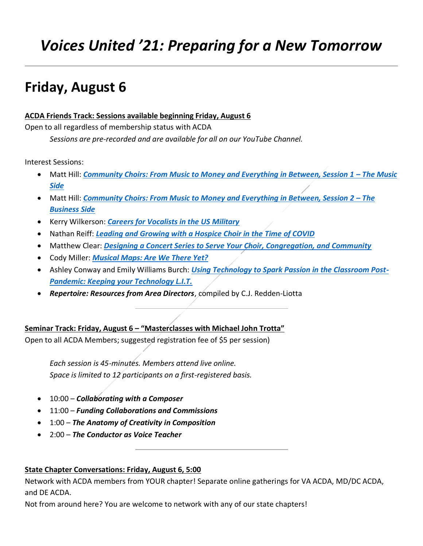# *Voices United '21: Preparing for a New Tomorrow*

## **Friday, August 6**

## **ACDA Friends Track: Sessions available beginning Friday, August 6**

Open to all regardless of membership status with ACDA

*Sessions are pre-recorded and are available for all on our YouTube Channel.*

Interest Sessions:

- Matt Hill: *[Community Choirs: From Music to Money and Everything in Between, Session 1](#page-2-0)  The Music [Side](#page-2-0)*
- Matt Hill: *[Community Choirs: From Music to Money and Everything in Between, Session 2](#page-2-0)  The [Business Side](#page-2-0)*
- Kerry Wilkerson: *[Careers for Vocalists in the US Military](#page-2-1)*
- Nathan Reiff: *[Leading and Growing with a Hospice Choir in the Time of COVID](#page-3-0)*
- Matthew Clear: *[Designing a Concert Series to Serve Your Choir, Congregation, and Community](#page-3-1)*
- Cody Miller: *[Musical Maps: Are We There Yet?](#page-4-0)*
- Ashley Conway and Emily Williams Burch: *[Using Technology to Spark Passion in the Classroom Post-](#page-5-0)[Pandemic: Keeping your Technology L.I.T.](#page-5-0)*
- *Repertoire: Resources from Area Directors*, compiled by C.J. Redden-Liotta

**Seminar Track: Friday, August 6 – "Masterclasses with Michael John Trotta"**

Open to all ACDA Members; suggested registration fee of \$5 per session)

*Each session is 45-minutes. Members attend live online. Space is limited to 12 participants on a first-registered basis.*

- 10:00 *Collaborating with a Composer*
- 11:00 *Funding Collaborations and Commissions*
- 1:00 *The Anatomy of Creativity in Composition*
- 2:00 *The Conductor as Voice Teacher*

## **State Chapter Conversations: Friday, August 6, 5:00**

Network with ACDA members from YOUR chapter! Separate online gatherings for VA ACDA, MD/DC ACDA, and DE ACDA.

Not from around here? You are welcome to network with any of our state chapters!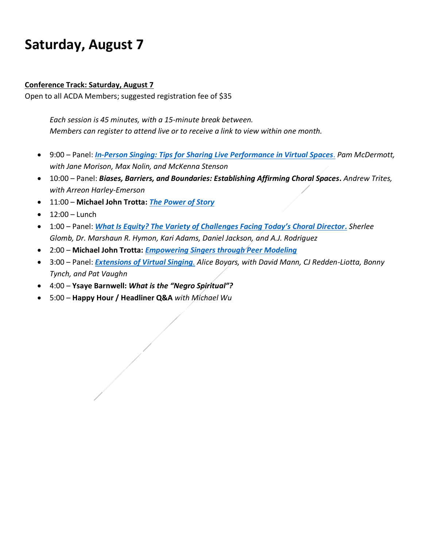## **Saturday, August 7**

#### **Conference Track: Saturday, August 7**

Open to all ACDA Members; suggested registration fee of \$35

*Each session is 45 minutes, with a 15-minute break between. Members can register to attend live or to receive a link to view within one month.*

- 9:00 Panel: *[In-Person Singing: Tips for Sharing](#page-5-1) Live Performance in Virtual Spaces*. *Pam McDermott, with Jane Morison, Max Nolin, and McKenna Stenson*
- 10:00 Panel: *Biases, Barriers, and Boundaries: Establishing Affirming Choral Spaces. Andrew Trites, with Arreon Harley-Emerson*
- 11:00 **Michael John Trotta:** *[The Power of Story](#page-5-2)*
- $12:00 -$  Lunch
- 1:00 Panel: *[What Is Equity? The Variety of Challenges Facing Today's Choral Director](#page-5-2). Sherlee Glomb, Dr. Marshaun R. Hymon, Kari Adams, Daniel Jackson, and A.J. Rodriguez*
- 2:00 **Michael John Trotta:** *[Empowering Singers through Peer Modeling](#page-7-0)*
- 3:00 Panel: *[Extensions of Virtual Singing](#page-8-0). Alice Boyars, with David Mann, CJ Redden-Liotta, Bonny Tynch, and Pat Vaughn*
- 4:00 **Ysaye Barnwell:** *What is the "Negro Spiritual"?*
- 5:00 **Happy Hour / Headliner Q&A** *with Michael Wu*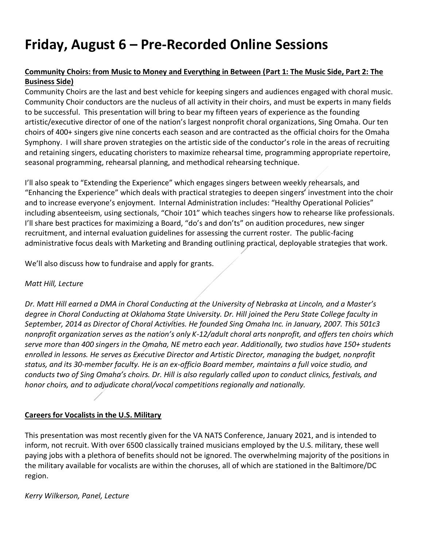# **Friday, August 6 – Pre-Recorded Online Sessions**

## <span id="page-2-0"></span>**Community Choirs: from Music to Money and Everything in Between (Part 1: The Music Side, Part 2: The Business Side)**

Community Choirs are the last and best vehicle for keeping singers and audiences engaged with choral music. Community Choir conductors are the nucleus of all activity in their choirs, and must be experts in many fields to be successful. This presentation will bring to bear my fifteen years of experience as the founding artistic/executive director of one of the nation's largest nonprofit choral organizations, Sing Omaha. Our ten choirs of 400+ singers give nine concerts each season and are contracted as the official choirs for the Omaha Symphony. I will share proven strategies on the artistic side of the conductor's role in the areas of recruiting and retaining singers, educating choristers to maximize rehearsal time, programming appropriate repertoire, seasonal programming, rehearsal planning, and methodical rehearsing technique.

I'll also speak to "Extending the Experience" which engages singers between weekly rehearsals, and "Enhancing the Experience" which deals with practical strategies to deepen singers' investment into the choir and to increase everyone's enjoyment. Internal Administration includes: "Healthy Operational Policies" including absenteeism, using sectionals, "Choir 101" which teaches singers how to rehearse like professionals. I'll share best practices for maximizing a Board, "do's and don'ts" on audition procedures, new singer recruitment, and internal evaluation guidelines for assessing the current roster. The public-facing administrative focus deals with Marketing and Branding outlining practical, deployable strategies that work.

We'll also discuss how to fundraise and apply for grants.

#### *Matt Hill, Lecture*

*Dr. Matt Hill earned a DMA in Choral Conducting at the University of Nebraska at Lincoln, and a Master's degree in Choral Conducting at Oklahoma State University. Dr. Hill joined the Peru State College faculty in September, 2014 as Director of Choral Activities. He founded Sing Omaha Inc. in January, 2007. This 501c3 nonprofit organization serves as the nation's only K-12/adult choral arts nonprofit, and offers ten choirs which serve more than 400 singers in the Omaha, NE metro each year. Additionally, two studios have 150+ students enrolled in lessons. He serves as Executive Director and Artistic Director, managing the budget, nonprofit status, and its 30-member faculty. He is an ex-officio Board member, maintains a full voice studio, and conducts two of Sing Omaha's choirs. Dr. Hill is also regularly called upon to conduct clinics, festivals, and honor choirs, and to adjudicate choral/vocal competitions regionally and nationally.*

## <span id="page-2-1"></span>**Careers for Vocalists in the U.S. Military**

This presentation was most recently given for the VA NATS Conference, January 2021, and is intended to inform, not recruit. With over 6500 classically trained musicians employed by the U.S. military, these well paying jobs with a plethora of benefits should not be ignored. The overwhelming majority of the positions in the military available for vocalists are within the choruses, all of which are stationed in the Baltimore/DC region.

#### *Kerry Wilkerson, Panel, Lecture*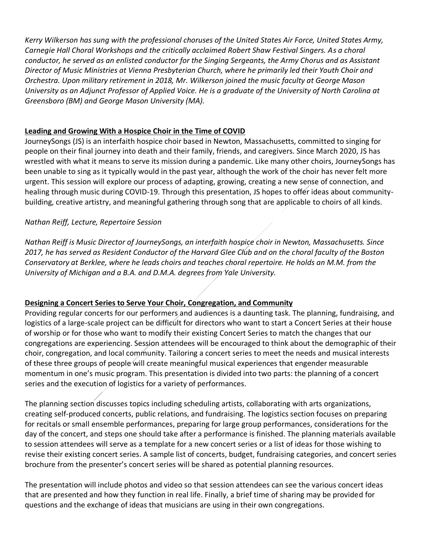*Kerry Wilkerson has sung with the professional choruses of the United States Air Force, United States Army, Carnegie Hall Choral Workshops and the critically acclaimed Robert Shaw Festival Singers. As a choral conductor, he served as an enlisted conductor for the Singing Sergeants, the Army Chorus and as Assistant Director of Music Ministries at Vienna Presbyterian Church, where he primarily led their Youth Choir and Orchestra. Upon military retirement in 2018, Mr. Wilkerson joined the music faculty at George Mason University as an Adjunct Professor of Applied Voice. He is a graduate of the University of North Carolina at Greensboro (BM) and George Mason University (MA).*

## <span id="page-3-0"></span>**Leading and Growing With a Hospice Choir in the Time of COVID**

JourneySongs (JS) is an interfaith hospice choir based in Newton, Massachusetts, committed to singing for people on their final journey into death and their family, friends, and caregivers. Since March 2020, JS has wrestled with what it means to serve its mission during a pandemic. Like many other choirs, JourneySongs has been unable to sing as it typically would in the past year, although the work of the choir has never felt more urgent. This session will explore our process of adapting, growing, creating a new sense of connection, and healing through music during COVID-19. Through this presentation, JS hopes to offer ideas about communitybuilding, creative artistry, and meaningful gathering through song that are applicable to choirs of all kinds.

## *Nathan Reiff, Lecture, Repertoire Session*

*Nathan Reiff is Music Director of JourneySongs, an interfaith hospice choir in Newton, Massachusetts. Since 2017, he has served as Resident Conductor of the Harvard Glee Club and on the choral faculty of the Boston Conservatory at Berklee, where he leads choirs and teaches choral repertoire. He holds an M.M. from the University of Michigan and a B.A. and D.M.A. degrees from Yale University.*

## <span id="page-3-1"></span>**Designing a Concert Series to Serve Your Choir, Congregation, and Community**

Providing regular concerts for our performers and audiences is a daunting task. The planning, fundraising, and logistics of a large-scale project can be difficult for directors who want to start a Concert Series at their house of worship or for those who want to modify their existing Concert Series to match the changes that our congregations are experiencing. Session attendees will be encouraged to think about the demographic of their choir, congregation, and local community. Tailoring a concert series to meet the needs and musical interests of these three groups of people will create meaningful musical experiences that engender measurable momentum in one's music program. This presentation is divided into two parts: the planning of a concert series and the execution of logistics for a variety of performances.

The planning section discusses topics including scheduling artists, collaborating with arts organizations, creating self-produced concerts, public relations, and fundraising. The logistics section focuses on preparing for recitals or small ensemble performances, preparing for large group performances, considerations for the day of the concert, and steps one should take after a performance is finished. The planning materials available to session attendees will serve as a template for a new concert series or a list of ideas for those wishing to revise their existing concert series. A sample list of concerts, budget, fundraising categories, and concert series brochure from the presenter's concert series will be shared as potential planning resources.

The presentation will include photos and video so that session attendees can see the various concert ideas that are presented and how they function in real life. Finally, a brief time of sharing may be provided for questions and the exchange of ideas that musicians are using in their own congregations.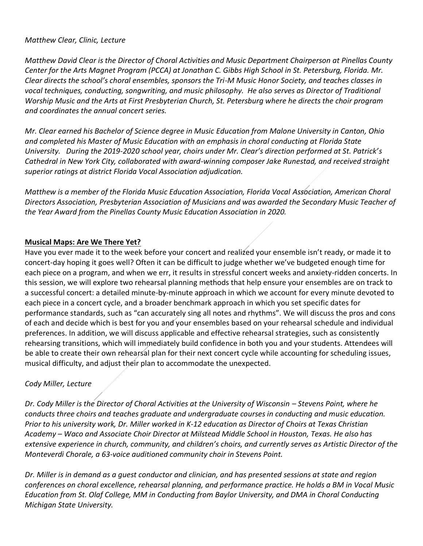#### *Matthew Clear, Clinic, Lecture*

*Matthew David Clear is the Director of Choral Activities and Music Department Chairperson at Pinellas County Center for the Arts Magnet Program (PCCA) at Jonathan C. Gibbs High School in St. Petersburg, Florida. Mr. Clear directs the school's choral ensembles, sponsors the Tri-M Music Honor Society, and teaches classes in vocal techniques, conducting, songwriting, and music philosophy.  He also serves as Director of Traditional Worship Music and the Arts at First Presbyterian Church, St. Petersburg where he directs the choir program and coordinates the annual concert series.* 

*Mr. Clear earned his Bachelor of Science degree in Music Education from Malone University in Canton, Ohio and completed his Master of Music Education with an emphasis in choral conducting at Florida State University.   During the 2019-2020 school year, choirs under Mr. Clear's direction performed at St. Patrick's Cathedral in New York City, collaborated with award-winning composer Jake Runestad, and received straight superior ratings at district Florida Vocal Association adjudication.* 

*Matthew is a member of the Florida Music Education Association, Florida Vocal Association, American Choral Directors Association, Presbyterian Association of Musicians and was awarded the Secondary Music Teacher of the Year Award from the Pinellas County Music Education Association in 2020.*

## <span id="page-4-0"></span>**Musical Maps: Are We There Yet?**

Have you ever made it to the week before your concert and realized your ensemble isn't ready, or made it to concert-day hoping it goes well? Often it can be difficult to judge whether we've budgeted enough time for each piece on a program, and when we err, it results in stressful concert weeks and anxiety-ridden concerts. In this session, we will explore two rehearsal planning methods that help ensure your ensembles are on track to a successful concert: a detailed minute-by-minute approach in which we account for every minute devoted to each piece in a concert cycle, and a broader benchmark approach in which you set specific dates for performance standards, such as "can accurately sing all notes and rhythms". We will discuss the pros and cons of each and decide which is best for you and your ensembles based on your rehearsal schedule and individual preferences. In addition, we will discuss applicable and effective rehearsal strategies, such as consistently rehearsing transitions, which will immediately build confidence in both you and your students. Attendees will be able to create their own rehearsal plan for their next concert cycle while accounting for scheduling issues, musical difficulty, and adjust their plan to accommodate the unexpected.

## *Cody Miller, Lecture*

*Dr. Cody Miller is the Director of Choral Activities at the University of Wisconsin – Stevens Point, where he conducts three choirs and teaches graduate and undergraduate courses in conducting and music education. Prior to his university work, Dr. Miller worked in K-12 education as Director of Choirs at Texas Christian Academy – Waco and Associate Choir Director at Milstead Middle School in Houston, Texas. He also has extensive experience in church, community, and children's choirs, and currently serves as Artistic Director of the Monteverdi Chorale, a 63-voice auditioned community choir in Stevens Point.* 

*Dr. Miller is in demand as a guest conductor and clinician, and has presented sessions at state and region conferences on choral excellence, rehearsal planning, and performance practice. He holds a BM in Vocal Music Education from St. Olaf College, MM in Conducting from Baylor University, and DMA in Choral Conducting Michigan State University.*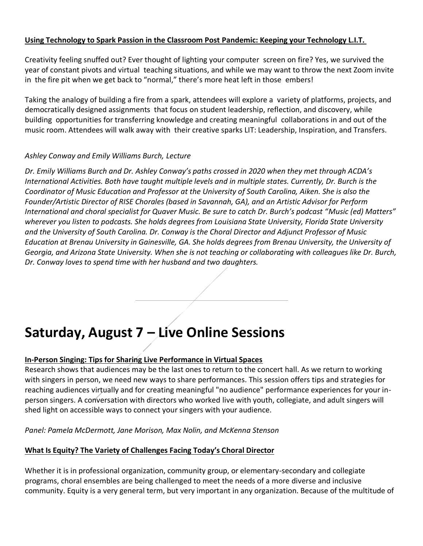## <span id="page-5-0"></span>**Using Technology to Spark Passion in the Classroom Post Pandemic: Keeping your Technology L.I.T.**

Creativity feeling snuffed out? Ever thought of lighting your computer screen on fire? Yes, we survived the year of constant pivots and virtual teaching situations, and while we may want to throw the next Zoom invite in the fire pit when we get back to "normal," there's more heat left in those embers!

Taking the analogy of building a fire from a spark, attendees will explore a variety of platforms, projects, and democratically designed assignments that focus on student leadership, reflection, and discovery, while building opportunities for transferring knowledge and creating meaningful collaborations in and out of the music room. Attendees will walk away with their creative sparks LIT: Leadership, Inspiration, and Transfers.

## *Ashley Conway and Emily Williams Burch, Lecture*

*Dr. Emily Williams Burch and Dr. Ashley Conway's paths crossed in 2020 when they met through ACDA's International Activities. Both have taught multiple levels and in multiple states. Currently, Dr. Burch is the Coordinator of Music Education and Professor at the University of South Carolina, Aiken. She is also the Founder/Artistic Director of RISE Chorales (based in Savannah, GA), and an Artistic Advisor for Perform International and choral specialist for Quaver Music. Be sure to catch Dr. Burch's podcast "Music (ed) Matters" wherever you listen to podcasts. She holds degrees from Louisiana State University, Florida State University and the University of South Carolina. Dr. Conway is the Choral Director and Adjunct Professor of Music Education at Brenau University in Gainesville, GA. She holds degrees from Brenau University, the University of Georgia, and Arizona State University. When she is not teaching or collaborating with colleagues like Dr. Burch, Dr. Conway loves to spend time with her husband and two daughters.*

## **Saturday, August 7 – Live Online Sessions**

## <span id="page-5-1"></span>**In-Person Singing: Tips for Sharing Live Performance in Virtual Spaces**

Research shows that audiences may be the last ones to return to the concert hall. As we return to working with singers in person, we need new ways to share performances. This session offers tips and strategies for reaching audiences virtually and for creating meaningful "no audience" performance experiences for your inperson singers. A conversation with directors who worked live with youth, collegiate, and adult singers will shed light on accessible ways to connect your singers with your audience.

*Panel: Pamela McDermott, Jane Morison, Max Nolin, and McKenna Stenson*

## <span id="page-5-2"></span>**What Is Equity? The Variety of Challenges Facing Today's Choral Director**

Whether it is in professional organization, community group, or elementary-secondary and collegiate programs, choral ensembles are being challenged to meet the needs of a more diverse and inclusive community. Equity is a very general term, but very important in any organization. Because of the multitude of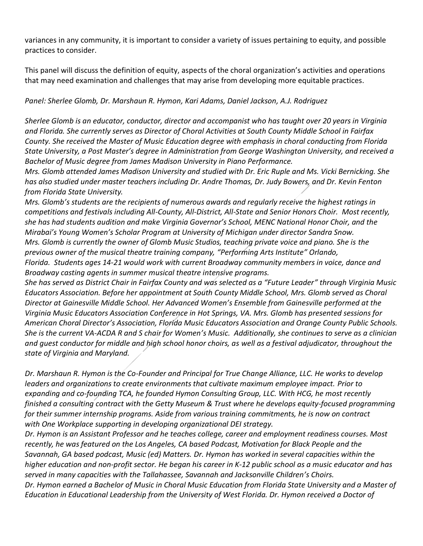variances in any community, it is important to consider a variety of issues pertaining to equity, and possible practices to consider.

This panel will discuss the definition of equity, aspects of the choral organization's activities and operations that may need examination and challenges that may arise from developing more equitable practices.

*Panel: Sherlee Glomb, Dr. Marshaun R. Hymon, Kari Adams, Daniel Jackson, A.J. Rodriguez*

*Sherlee Glomb is an educator, conductor, director and accompanist who has taught over 20 years in Virginia and Florida. She currently serves as Director of Choral Activities at South County Middle School in Fairfax County. She received the Master of Music Education degree with emphasis in choral conducting from Florida State University, a Post Master's degree in Administration from George Washington University, and received a Bachelor of Music degree from James Madison University in Piano Performance.* 

*Mrs. Glomb attended James Madison University and studied with Dr. Eric Ruple and Ms. Vicki Bernicking. She has also studied under master teachers including Dr. Andre Thomas, Dr. Judy Bowers, and Dr. Kevin Fenton from Florida State University.* 

*Mrs. Glomb's students are the recipients of numerous awards and regularly receive the highest ratings in competitions and festivals including All-County, All-District, All-State and Senior Honors Choir. Most recently, she has had students audition and make Virginia Governor's School, MENC National Honor Choir, and the Mirabai's Young Women's Scholar Program at University of Michigan under director Sandra Snow. Mrs. Glomb is currently the owner of Glomb Music Studios, teaching private voice and piano. She is the previous owner of the musical theatre training company, "Performing Arts Institute" Orlando, Florida. Students ages 14-21 would work with current Broadway community members in voice, dance and Broadway casting agents in summer musical theatre intensive programs.*

*She has served as District Chair in Fairfax County and was selected as a "Future Leader" through Virginia Music Educators Association. Before her appointment at South County Middle School, Mrs. Glomb served as Choral Director at Gainesville Middle School. Her Advanced Women's Ensemble from Gainesville performed at the Virginia Music Educators Association Conference in Hot Springs, VA. Mrs. Glomb has presented sessions for American Choral Director's Association, Florida Music Educators Association and Orange County Public Schools. She is the current VA-ACDA R and S chair for Women's Music. Additionally, she continues to serve as a clinician and guest conductor for middle and high school honor choirs, as well as a festival adjudicator, throughout the state of Virginia and Maryland.*

*Dr. Marshaun R. Hymon is the Co-Founder and Principal for True Change Alliance, LLC. He works to develop leaders and organizations to create environments that cultivate maximum employee impact. Prior to expanding and co-founding TCA, he founded Hymon Consulting Group, LLC. With HCG, he most recently finished a consulting contract with the Getty Museum & Trust where he develops equity-focused programming for their summer internship programs. Aside from various training commitments, he is now on contract with One Workplace supporting in developing organizational DEI strategy.*

*Dr. Hymon is an Assistant Professor and he teaches college, career and employment readiness courses. Most recently, he was featured on the Los Angeles, CA based Podcast, Motivation for Black People and the Savannah, GA based podcast, Music (ed) Matters. Dr. Hymon has worked in several capacities within the higher education and non-profit sector. He began his career in K-12 public school as a music educator and has served in many capacities with the Tallahassee, Savannah and Jacksonville Children's Choirs. Dr. Hymon earned a Bachelor of Music in Choral Music Education from Florida State University and a Master of Education in Educational Leadership from the University of West Florida. Dr. Hymon received a Doctor of*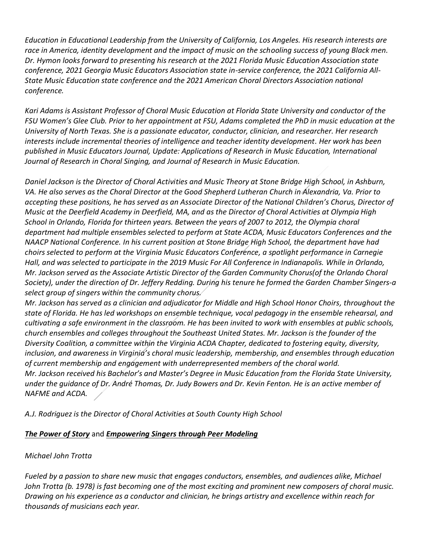*Education in Educational Leadership from the University of California, Los Angeles. His research interests are race in America, identity development and the impact of music on the schooling success of young Black men. Dr. Hymon looks forward to presenting his research at the 2021 Florida Music Education Association state conference, 2021 Georgia Music Educators Association state in-service conference, the 2021 California All-State Music Education state conference and the 2021 American Choral Directors Association national conference.*

*Kari Adams is Assistant Professor of Choral Music Education at Florida State University and conductor of the FSU Women's Glee Club. Prior to her appointment at FSU, Adams completed the PhD in music education at the University of North Texas. She is a passionate educator, conductor, clinician, and researcher. Her research interests include incremental theories of intelligence and teacher identity development. Her work has been published in Music Educators Journal, Update: Applications of Research in Music Education, International Journal of Research in Choral Singing, and Journal of Research in Music Education.*

*Daniel Jackson is the Director of Choral Activities and Music Theory at Stone Bridge High School, in Ashburn, VA. He also serves as the Choral Director at the Good Shepherd Lutheran Church in Alexandria, Va. Prior to accepting these positions, he has served as an Associate Director of the National Children's Chorus, Director of Music at the Deerfield Academy in Deerfield, MA, and as the Director of Choral Activities at Olympia High School in Orlando, Florida for thirteen years. Between the years of 2007 to 2012, the Olympia choral department had multiple ensembles selected to perform at State ACDA, Music Educators Conferences and the NAACP National Conference. In his current position at Stone Bridge High School, the department have had choirs selected to perform at the Virginia Music Educators Conference, a spotlight performance in Carnegie Hall, and was selected to participate in the 2019 Music For All Conference in Indianapolis. While in Orlando, Mr. Jackson served as the Associate Artistic Director of the Garden Community Chorus(of the Orlando Choral Society), under the direction of Dr. Jeffery Redding. During his tenure he formed the Garden Chamber Singers-a select group of singers within the community chorus.*

*Mr. Jackson has served as a clinician and adjudicator for Middle and High School Honor Choirs, throughout the state of Florida. He has led workshops on ensemble technique, vocal pedagogy in the ensemble rehearsal, and cultivating a safe environment in the classroom. He has been invited to work with ensembles at public schools, church ensembles and colleges throughout the Southeast United States. Mr. Jackson is the founder of the Diversity Coalition, a committee within the Virginia ACDA Chapter, dedicated to fostering equity, diversity, inclusion, and awareness in Virginia's choral music leadership, membership, and ensembles through education of current membership and engagement with underrepresented members of the choral world. Mr. Jackson received his Bachelor's and Master's Degree in Music Education from the Florida State University, under the guidance of Dr. André Thomas, Dr. Judy Bowers and Dr. Kevin Fenton. He is an active member of NAFME and ACDA.*

*A.J. Rodriguez is the Director of Choral Activities at South County High School*

## <span id="page-7-0"></span>*The Power of Story* and *Empowering Singers through Peer Modeling*

## *Michael John Trotta*

*Fueled by a passion to share new music that engages conductors, ensembles, and audiences alike, Michael John Trotta (b. 1978) is fast becoming one of the most exciting and prominent new composers of choral music. Drawing on his experience as a conductor and clinician, he brings artistry and excellence within reach for thousands of musicians each year.*